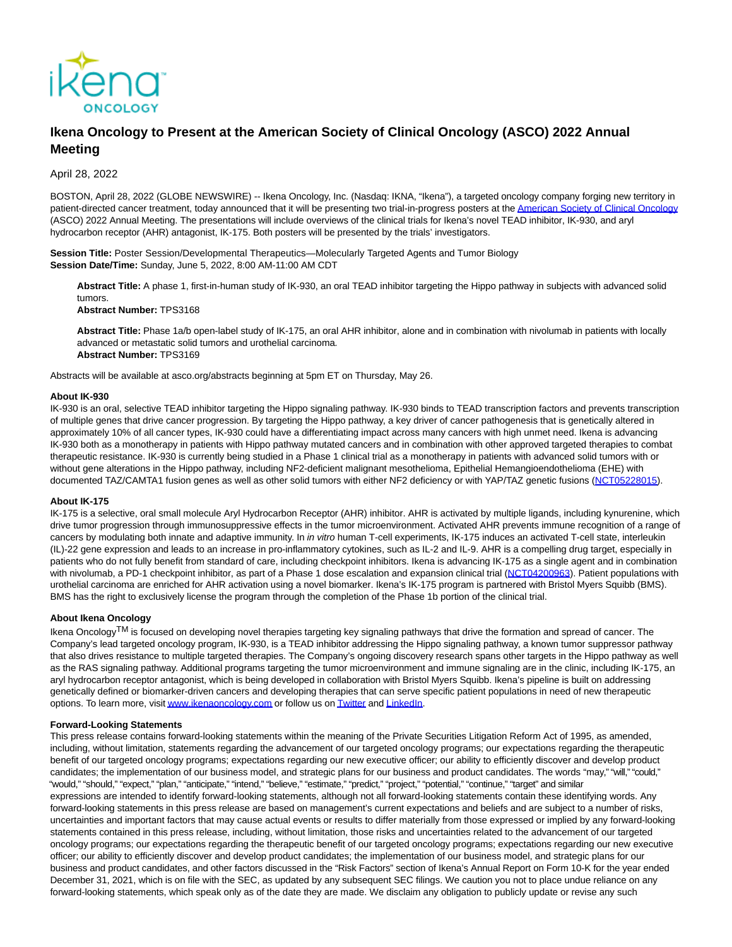

# **Ikena Oncology to Present at the American Society of Clinical Oncology (ASCO) 2022 Annual Meeting**

# April 28, 2022

BOSTON, April 28, 2022 (GLOBE NEWSWIRE) -- Ikena Oncology, Inc. (Nasdaq: IKNA, "Ikena"), a targeted oncology company forging new territory in patient-directed cancer treatment, today announced that it will be presenting two trial-in-progress posters at th[e American Society of Clinical Oncology](https://www.globenewswire.com/Tracker?data=qC_hOlTHYZdCU_--8AyFP8Ft0vzIvAHxK61P-Et58ZJ4POd8nJKjLjZYxjo4uADOs2lYOOzbBTnTR42jFa258VOE8c2BoyTkIerH6OVzFikCZcNkqqUDFIlkffmzo2FjhQBI3EuK2rXicRa89cCpd7MWDULwEzMoUm99YCHHkkDLG9KWutQff6iY1T-36JlqWIKS9rZPB4itLERlIj2Iri-aQ0w-9P7QTAfQ6icjqUnDU8pYudYL2KmwQJOlHJx7oCARKEND8QONR4qijTwWAA==) (ASCO) 2022 Annual Meeting. The presentations will include overviews of the clinical trials for Ikena's novel TEAD inhibitor, IK-930, and aryl hydrocarbon receptor (AHR) antagonist, IK-175. Both posters will be presented by the trials' investigators.

**Session Title:** Poster Session/Developmental Therapeutics—Molecularly Targeted Agents and Tumor Biology **Session Date/Time:** Sunday, June 5, 2022, 8:00 AM-11:00 AM CDT

**Abstract Title:** A phase 1, first-in-human study of IK-930, an oral TEAD inhibitor targeting the Hippo pathway in subjects with advanced solid tumors.

**Abstract Number:** TPS3168

**Abstract Title:** Phase 1a/b open-label study of IK-175, an oral AHR inhibitor, alone and in combination with nivolumab in patients with locally advanced or metastatic solid tumors and urothelial carcinoma. **Abstract Number:** TPS3169

Abstracts will be available at asco.org/abstracts beginning at 5pm ET on Thursday, May 26.

## **About IK-930**

IK-930 is an oral, selective TEAD inhibitor targeting the Hippo signaling pathway. IK-930 binds to TEAD transcription factors and prevents transcription of multiple genes that drive cancer progression. By targeting the Hippo pathway, a key driver of cancer pathogenesis that is genetically altered in approximately 10% of all cancer types, IK-930 could have a differentiating impact across many cancers with high unmet need. Ikena is advancing IK-930 both as a monotherapy in patients with Hippo pathway mutated cancers and in combination with other approved targeted therapies to combat therapeutic resistance. IK-930 is currently being studied in a Phase 1 clinical trial as a monotherapy in patients with advanced solid tumors with or without gene alterations in the Hippo pathway, including NF2-deficient malignant mesothelioma, Epithelial Hemangioendothelioma (EHE) with documented TAZ/CAMTA1 fusion genes as well as other solid tumors with either NF2 deficiency or with YAP/TAZ genetic fusions [\(NCT05228015\).](https://www.globenewswire.com/Tracker?data=4eK2buj1ts4PV9MRDJYw5aY0dxJcSz5uPN-CabenYC2jwjVBFnXWtxMHYQIKqtyqGTJZnwgREM9hjEJVYbikmzglLCXr8Mt2QXgoAnITgYsPPHsyffweCEZaVaHS0zLss1az5iTmxLj8uZbDmb077w==)

#### **About IK-175**

IK-175 is a selective, oral small molecule Aryl Hydrocarbon Receptor (AHR) inhibitor. AHR is activated by multiple ligands, including kynurenine, which drive tumor progression through immunosuppressive effects in the tumor microenvironment. Activated AHR prevents immune recognition of a range of cancers by modulating both innate and adaptive immunity. In *in vitro* human T-cell experiments, IK-175 induces an activated T-cell state, interleukin (IL)-22 gene expression and leads to an increase in pro-inflammatory cytokines, such as IL-2 and IL-9. AHR is a compelling drug target, especially in patients who do not fully benefit from standard of care, including checkpoint inhibitors. Ikena is advancing IK-175 as a single agent and in combination with nivolumab, a PD-1 checkpoint inhibitor, as part of a Phase 1 dose escalation and expansion clinical trial [\(NCT04200963\).](https://www.globenewswire.com/Tracker?data=sajSKTiD-1ejUDjrO1qnnidsIC7I8XLG_PngrdruxwXhM_10wAUVzPfMmj5_A262267yJj4tSCmgp21e30IKdP-hLOFynZq2O4zXYPm9nopIp0ichJjf4Gb3nuRNoOdtgBuomHTUxbfTRn93pDuwPg==) Patient populations with urothelial carcinoma are enriched for AHR activation using a novel biomarker. Ikena's IK-175 program is partnered with Bristol Myers Squibb (BMS). BMS has the right to exclusively license the program through the completion of the Phase 1b portion of the clinical trial.

## **About Ikena Oncology**

Ikena Oncology<sup>TM</sup> is focused on developing novel therapies targeting key signaling pathways that drive the formation and spread of cancer. The Company's lead targeted oncology program, IK-930, is a TEAD inhibitor addressing the Hippo signaling pathway, a known tumor suppressor pathway that also drives resistance to multiple targeted therapies. The Company's ongoing discovery research spans other targets in the Hippo pathway as well as the RAS signaling pathway. Additional programs targeting the tumor microenvironment and immune signaling are in the clinic, including IK-175, an aryl hydrocarbon receptor antagonist, which is being developed in collaboration with Bristol Myers Squibb. Ikena's pipeline is built on addressing genetically defined or biomarker-driven cancers and developing therapies that can serve specific patient populations in need of new therapeutic options. To learn more, visi[t www.ikenaoncology.com o](https://www.globenewswire.com/Tracker?data=R6OHcHY8-rCjpE4auksLlGgzfa5Cusra8LhAUyErv1HJpnyBa0_3TXd8Qx_iw0FnG1n8fIjxw-miXM9cBcOC-6mF03NzKTiF8srA7Aspk1Q=)r follow us o[n Twitter a](https://www.globenewswire.com/Tracker?data=G2cfgzh81SuiQ4MVSS7N8m6bGjejePvlLPUE9SFpUJobGUEwzVuPWzCENt4OmbhlzVO28A-Vn_6UFpUdxneT4Q==)n[d LinkedIn.](https://www.globenewswire.com/Tracker?data=i8H6IKbEe83pYLcNwNKhGZdhYPdKlZs5BzAm6jyTv8V1-H5Z-8m3NiO0y33whzSr-ZuJHTiWkk9cI8rbU9a3ZKgDx_lvRRBhXG4oQwmfG7g=)

#### **Forward-Looking Statements**

This press release contains forward-looking statements within the meaning of the Private Securities Litigation Reform Act of 1995, as amended, including, without limitation, statements regarding the advancement of our targeted oncology programs; our expectations regarding the therapeutic benefit of our targeted oncology programs; expectations regarding our new executive officer; our ability to efficiently discover and develop product candidates; the implementation of our business model, and strategic plans for our business and product candidates. The words "may," "will," "could," "would," "should," "expect," "plan," "anticipate," "intend," "believe," "estimate," "predict," "project," "potential," "continue," "target" and similar expressions are intended to identify forward-looking statements, although not all forward-looking statements contain these identifying words. Any forward-looking statements in this press release are based on management's current expectations and beliefs and are subject to a number of risks, uncertainties and important factors that may cause actual events or results to differ materially from those expressed or implied by any forward-looking statements contained in this press release, including, without limitation, those risks and uncertainties related to the advancement of our targeted oncology programs; our expectations regarding the therapeutic benefit of our targeted oncology programs; expectations regarding our new executive officer; our ability to efficiently discover and develop product candidates; the implementation of our business model, and strategic plans for our business and product candidates, and other factors discussed in the "Risk Factors" section of Ikena's Annual Report on Form 10-K for the year ended December 31, 2021, which is on file with the SEC, as updated by any subsequent SEC filings. We caution you not to place undue reliance on any forward-looking statements, which speak only as of the date they are made. We disclaim any obligation to publicly update or revise any such